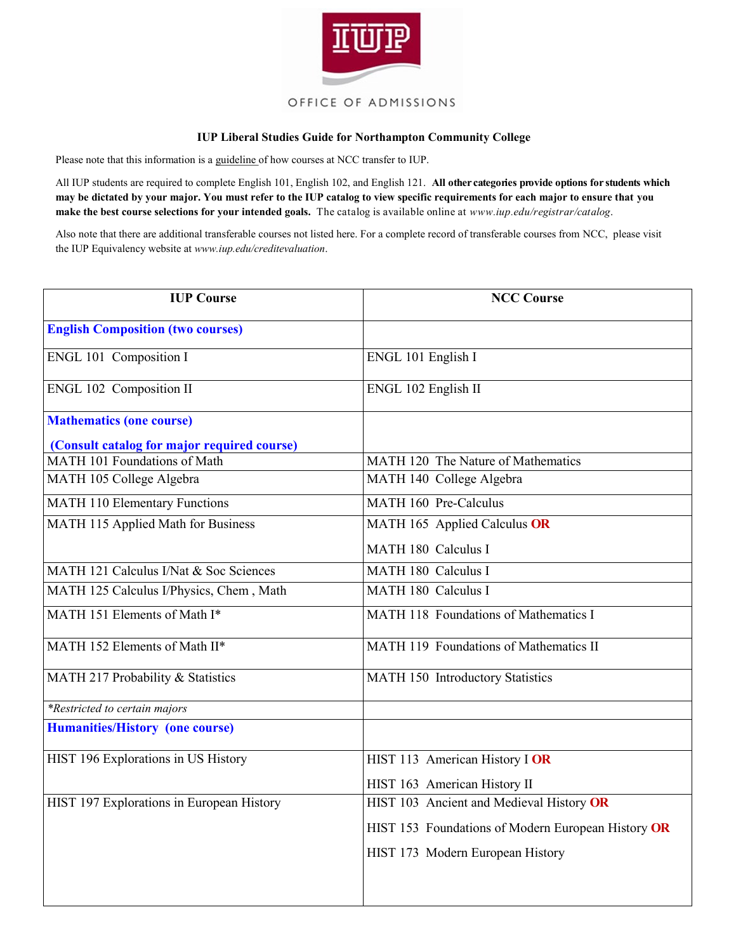

## **IUP Liberal Studies Guide for Northampton Community College**

Please note that this information is a guideline of how courses at NCC transfer to IUP.

All IUP students are required to complete English 101, English 102, and English 121. **All other categories provide options for students which may be dictated by your major. You must refer to the IUP catalog to view specific requirements for each major to ensure that you make the best course selections for your intended goals.** The catalog is available online at *www.iup.edu/registrar/catalog*.

Also note that there are additional transferable courses not listed here. For a complete record of transferable courses from NCC, please visit the IUP Equivalency website at *www.iup.edu/creditevaluation*.

| <b>IUP Course</b>                           | <b>NCC Course</b>                                  |
|---------------------------------------------|----------------------------------------------------|
| <b>English Composition (two courses)</b>    |                                                    |
| <b>ENGL 101 Composition I</b>               | ENGL 101 English I                                 |
| ENGL 102 Composition II                     | ENGL 102 English II                                |
| <b>Mathematics (one course)</b>             |                                                    |
| (Consult catalog for major required course) |                                                    |
| MATH 101 Foundations of Math                | MATH 120 The Nature of Mathematics                 |
| MATH 105 College Algebra                    | MATH 140 College Algebra                           |
| <b>MATH 110 Elementary Functions</b>        | MATH 160 Pre-Calculus                              |
| MATH 115 Applied Math for Business          | MATH 165 Applied Calculus OR                       |
|                                             | MATH 180 Calculus I                                |
| MATH 121 Calculus I/Nat & Soc Sciences      | MATH 180 Calculus I                                |
| MATH 125 Calculus I/Physics, Chem, Math     | MATH 180 Calculus I                                |
| MATH 151 Elements of Math I*                | MATH 118 Foundations of Mathematics I              |
| MATH 152 Elements of Math II*               | MATH 119 Foundations of Mathematics II             |
| MATH 217 Probability & Statistics           | MATH 150 Introductory Statistics                   |
| *Restricted to certain majors               |                                                    |
| <b>Humanities/History (one course)</b>      |                                                    |
| HIST 196 Explorations in US History         | HIST 113 American History I OR                     |
|                                             | HIST 163 American History II                       |
| HIST 197 Explorations in European History   | HIST 103 Ancient and Medieval History OR           |
|                                             | HIST 153 Foundations of Modern European History OR |
|                                             | HIST 173 Modern European History                   |
|                                             |                                                    |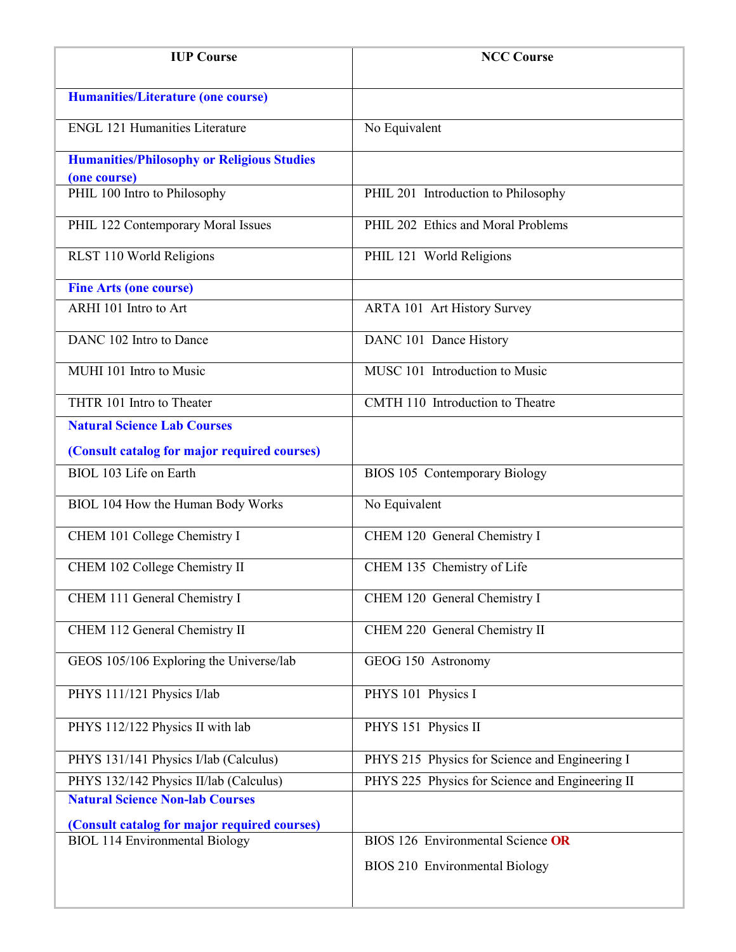| <b>IUP Course</b>                                 | <b>NCC Course</b>                               |
|---------------------------------------------------|-------------------------------------------------|
| <b>Humanities/Literature (one course)</b>         |                                                 |
| <b>ENGL 121 Humanities Literature</b>             | No Equivalent                                   |
| <b>Humanities/Philosophy or Religious Studies</b> |                                                 |
| (one course)                                      |                                                 |
| PHIL 100 Intro to Philosophy                      | PHIL 201 Introduction to Philosophy             |
| PHIL 122 Contemporary Moral Issues                | PHIL 202 Ethics and Moral Problems              |
| RLST 110 World Religions                          | PHIL 121 World Religions                        |
| <b>Fine Arts (one course)</b>                     |                                                 |
| ARHI 101 Intro to Art                             | <b>ARTA 101 Art History Survey</b>              |
| DANC 102 Intro to Dance                           | DANC 101 Dance History                          |
| MUHI 101 Intro to Music                           | MUSC 101 Introduction to Music                  |
| THTR 101 Intro to Theater                         | CMTH 110 Introduction to Theatre                |
| <b>Natural Science Lab Courses</b>                |                                                 |
| (Consult catalog for major required courses)      |                                                 |
| BIOL 103 Life on Earth                            | BIOS 105 Contemporary Biology                   |
| BIOL 104 How the Human Body Works                 | No Equivalent                                   |
| CHEM 101 College Chemistry I                      | CHEM 120 General Chemistry I                    |
| CHEM 102 College Chemistry II                     | CHEM 135 Chemistry of Life                      |
| CHEM 111 General Chemistry I                      | CHEM 120 General Chemistry I                    |
| CHEM 112 General Chemistry II                     | CHEM 220 General Chemistry II                   |
| GEOS 105/106 Exploring the Universe/lab           | GEOG 150 Astronomy                              |
| PHYS 111/121 Physics I/lab                        | PHYS 101 Physics I                              |
| PHYS 112/122 Physics II with lab                  | PHYS 151 Physics II                             |
| PHYS 131/141 Physics I/lab (Calculus)             | PHYS 215 Physics for Science and Engineering I  |
| PHYS 132/142 Physics II/lab (Calculus)            | PHYS 225 Physics for Science and Engineering II |
| <b>Natural Science Non-lab Courses</b>            |                                                 |
| (Consult catalog for major required courses)      |                                                 |
| <b>BIOL 114 Environmental Biology</b>             | BIOS 126 Environmental Science OR               |
|                                                   | BIOS 210 Environmental Biology                  |
|                                                   |                                                 |